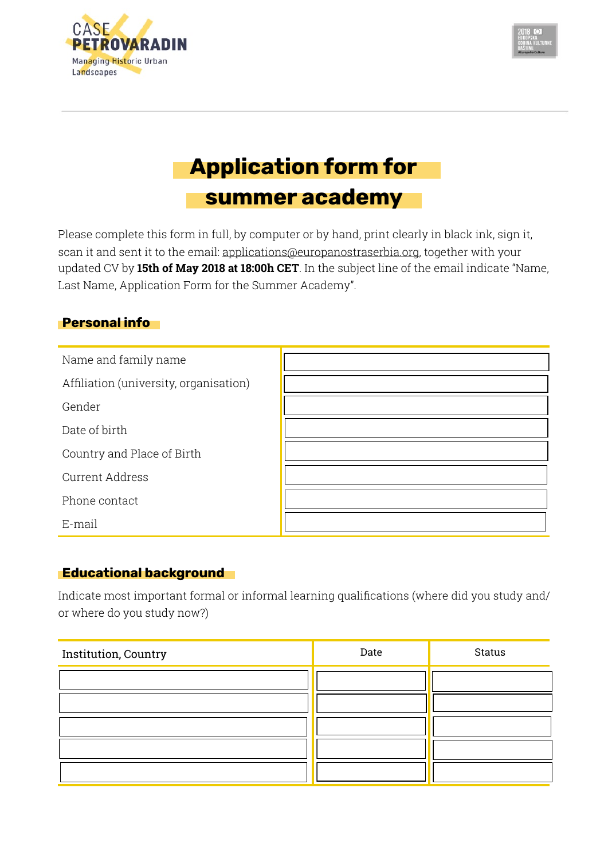



# **Application form for**

**summer academy**

Please complete this form in full, by computer or by hand, print clearly in black ink, sign it, scan it and sent it to the email: [applications@europanostraserbia.org](mailto:applications@europanostraserbia.org), together with your updated CV by **15th of May 2018 at 18:00h CET**. In the subject line of the email indicate "Name, Last Name, Application Form for the Summer Academy".

#### **Personal info**

| Name and family name                   |  |
|----------------------------------------|--|
| Affiliation (university, organisation) |  |
| Gender                                 |  |
| Date of birth                          |  |
| Country and Place of Birth             |  |
| <b>Current Address</b>                 |  |
| Phone contact                          |  |
| E-mail                                 |  |

#### **Educational background**

Indicate most important formal or informal learning qualifications (where did you study and/ or where do you study now?)

| Institution, Country | Date | <b>Status</b> |
|----------------------|------|---------------|
|                      |      |               |
|                      |      |               |
|                      |      |               |
|                      |      |               |
|                      |      |               |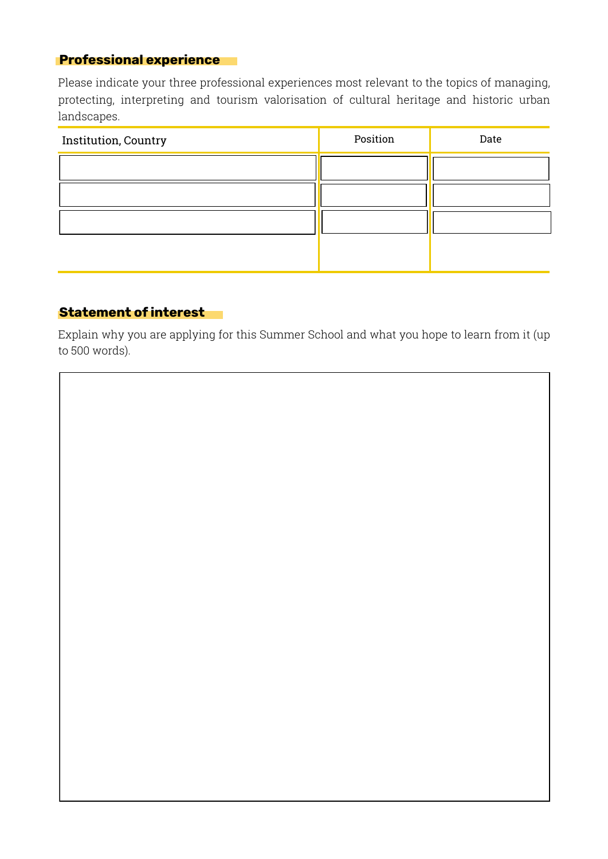### **Professional experience**

Please indicate your three professional experiences most relevant to the topics of managing, protecting, interpreting and tourism valorisation of cultural heritage and historic urban landscapes.

| Institution, Country | Position | Date |
|----------------------|----------|------|
|                      |          |      |
|                      |          |      |
|                      |          |      |
|                      |          |      |
|                      |          |      |

# **Statement of interest**

Explain why you are applying for this Summer School and what you hope to learn from it (up to 500 words).